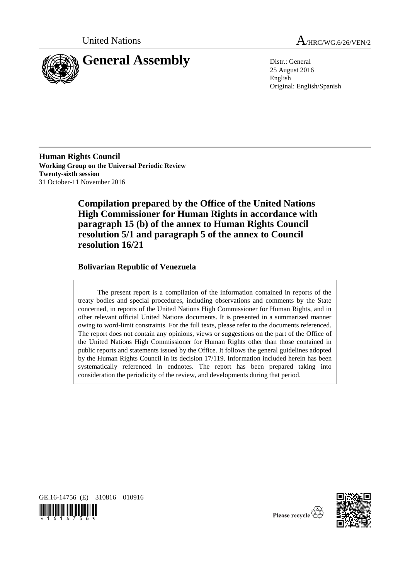



25 August 2016 English Original: English/Spanish

**Human Rights Council Working Group on the Universal Periodic Review Twenty-sixth session** 31 October-11 November 2016

> **Compilation prepared by the Office of the United Nations High Commissioner for Human Rights in accordance with paragraph 15 (b) of the annex to Human Rights Council resolution 5/1 and paragraph 5 of the annex to Council resolution 16/21**

# **Bolivarian Republic of Venezuela**

The present report is a compilation of the information contained in reports of the treaty bodies and special procedures, including observations and comments by the State concerned, in reports of the United Nations High Commissioner for Human Rights, and in other relevant official United Nations documents. It is presented in a summarized manner owing to word-limit constraints. For the full texts, please refer to the documents referenced. The report does not contain any opinions, views or suggestions on the part of the Office of the United Nations High Commissioner for Human Rights other than those contained in public reports and statements issued by the Office. It follows the general guidelines adopted by the Human Rights Council in its decision 17/119. Information included herein has been systematically referenced in endnotes. The report has been prepared taking into consideration the periodicity of the review, and developments during that period.







Please recycle  $\overleftrightarrow{C}$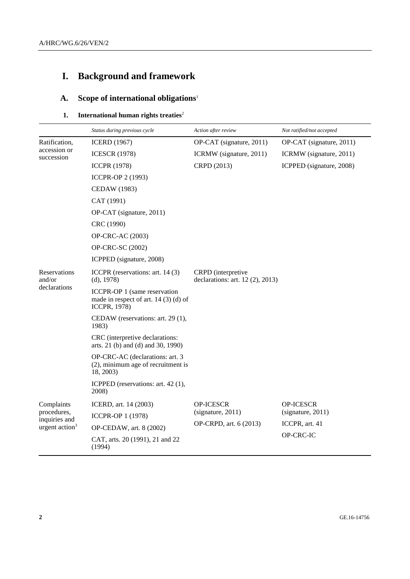# **I. Background and framework**

# **A. Scope of international obligations**<sup>1</sup>

# **1.** International human rights treaties<sup>2</sup>

|                              | Status during previous cycle                                                                 | Action after review                                             | Not ratified/not accepted |
|------------------------------|----------------------------------------------------------------------------------------------|-----------------------------------------------------------------|---------------------------|
| Ratification,                | <b>ICERD</b> (1967)                                                                          | OP-CAT (signature, 2011)                                        | OP-CAT (signature, 2011)  |
| accession or<br>succession   | <b>ICESCR (1978)</b>                                                                         | ICRMW (signature, 2011)                                         | ICRMW (signature, 2011)   |
|                              | <b>ICCPR (1978)</b>                                                                          | CRPD (2013)                                                     | ICPPED (signature, 2008)  |
|                              | ICCPR-OP 2 (1993)                                                                            |                                                                 |                           |
|                              | <b>CEDAW</b> (1983)                                                                          |                                                                 |                           |
|                              | CAT (1991)                                                                                   |                                                                 |                           |
|                              | OP-CAT (signature, 2011)                                                                     |                                                                 |                           |
|                              | CRC (1990)                                                                                   |                                                                 |                           |
|                              | OP-CRC-AC (2003)                                                                             |                                                                 |                           |
|                              | OP-CRC-SC (2002)                                                                             |                                                                 |                           |
|                              | ICPPED (signature, 2008)                                                                     |                                                                 |                           |
| Reservations<br>and/or       | ICCPR (reservations: art. 14 (3)<br>(d), 1978)                                               | <b>CRPD</b> (interpretive<br>declarations: art. $12$ (2), 2013) |                           |
| declarations                 | ICCPR-OP 1 (same reservation<br>made in respect of art. $14(3)(d)$ of<br><b>ICCPR, 1978)</b> |                                                                 |                           |
|                              | CEDAW (reservations: art. 29 (1),<br>1983)                                                   |                                                                 |                           |
|                              | CRC (interpretive declarations:<br>arts. 21 (b) and (d) and 30, 1990)                        |                                                                 |                           |
|                              | OP-CRC-AC (declarations: art. 3<br>(2), minimum age of recruitment is<br>18, 2003)           |                                                                 |                           |
|                              | ICPPED (reservations: art. 42(1),<br>2008)                                                   |                                                                 |                           |
| Complaints                   | ICERD, art. 14 (2003)                                                                        | <b>OP-ICESCR</b>                                                | <b>OP-ICESCR</b>          |
| procedures,<br>inquiries and | <b>ICCPR-OP 1 (1978)</b>                                                                     | (signature, 2011)                                               | (signature, 2011)         |
| urgent $\arctan^3$           | OP-CEDAW, art. 8 (2002)                                                                      | OP-CRPD, art. 6 (2013)                                          | ICCPR, art. 41            |
|                              | CAT, arts. 20 (1991), 21 and 22<br>(1994)                                                    |                                                                 | OP-CRC-IC                 |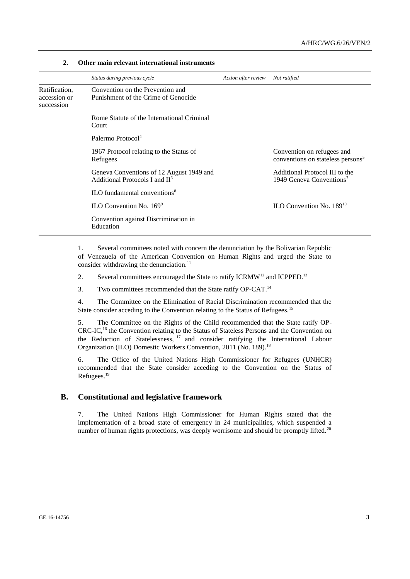|                                             | Status during previous cycle                                                   | Action after review | Not ratified                                                                |
|---------------------------------------------|--------------------------------------------------------------------------------|---------------------|-----------------------------------------------------------------------------|
| Ratification,<br>accession or<br>succession | Convention on the Prevention and<br>Punishment of the Crime of Genocide        |                     |                                                                             |
|                                             | Rome Statute of the International Criminal<br>Court                            |                     |                                                                             |
|                                             | Palermo Protocol <sup>4</sup>                                                  |                     |                                                                             |
|                                             | 1967 Protocol relating to the Status of<br>Refugees                            |                     | Convention on refugees and<br>conventions on stateless persons <sup>5</sup> |
|                                             | Geneva Conventions of 12 August 1949 and<br>Additional Protocols I and $\Pi^6$ |                     | Additional Protocol III to the<br>1949 Geneva Conventions <sup>7</sup>      |
|                                             | <b>ILO</b> fundamental conventions <sup>8</sup>                                |                     |                                                                             |
|                                             | ILO Convention No. $169^9$                                                     |                     | ILO Convention No. $189^{10}$                                               |
|                                             | Convention against Discrimination in<br>Education                              |                     |                                                                             |

#### **2. Other main relevant international instruments**

1. Several committees noted with concern the denunciation by the Bolivarian Republic of Venezuela of the American Convention on Human Rights and urged the State to consider withdrawing the denunciation. $11$ 

2. Several committees encouraged the State to ratify ICRMW<sup>12</sup> and ICPPED.<sup>13</sup>

3. Two committees recommended that the State ratify OP-CAT.<sup>14</sup>

4. The Committee on the Elimination of Racial Discrimination recommended that the State consider acceding to the Convention relating to the Status of Refugees.<sup>15</sup>

5. The Committee on the Rights of the Child recommended that the State ratify OP-CRC-IC,<sup>16</sup> the Convention relating to the Status of Stateless Persons and the Convention on the Reduction of Statelessness, <sup>17</sup> and consider ratifying the International Labour Organization (ILO) Domestic Workers Convention, 2011 (No. 189).<sup>18</sup>

6. The Office of the United Nations High Commissioner for Refugees (UNHCR) recommended that the State consider acceding to the Convention on the Status of Refugees.<sup>19</sup>

### **B. Constitutional and legislative framework**

7. The United Nations High Commissioner for Human Rights stated that the implementation of a broad state of emergency in 24 municipalities, which suspended a number of human rights protections, was deeply worrisome and should be promptly lifted.<sup>20</sup>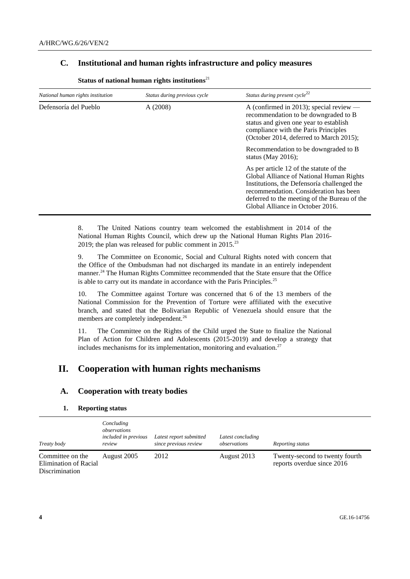# **C. Institutional and human rights infrastructure and policy measures**

| National human rights institution | Status during previous cycle | Status during present cycle <sup>22</sup>                                                                                                                                                                                                                        |
|-----------------------------------|------------------------------|------------------------------------------------------------------------------------------------------------------------------------------------------------------------------------------------------------------------------------------------------------------|
| Defensoría del Pueblo             | A(2008)                      | A (confirmed in 2013); special review $-$<br>recommendation to be downgraded to B<br>status and given one year to establish<br>compliance with the Paris Principles<br>(October 2014, deferred to March 2015);                                                   |
|                                   |                              | Recommendation to be downgraded to B<br>status (May 2016);                                                                                                                                                                                                       |
|                                   |                              | As per article 12 of the statute of the<br>Global Alliance of National Human Rights<br>Institutions, the Defensoría challenged the<br>recommendation. Consideration has been<br>deferred to the meeting of the Bureau of the<br>Global Alliance in October 2016. |

Status of national human rights institutions<sup>21</sup>

8. The United Nations country team welcomed the establishment in 2014 of the National Human Rights Council, which drew up the National Human Rights Plan 2016- 2019; the plan was released for public comment in  $2015$ <sup>23</sup>

9. The Committee on Economic, Social and Cultural Rights noted with concern that the Office of the Ombudsman had not discharged its mandate in an entirely independent manner.<sup>24</sup> The Human Rights Committee recommended that the State ensure that the Office is able to carry out its mandate in accordance with the Paris Principles.<sup>25</sup>

10. The Committee against Torture was concerned that 6 of the 13 members of the National Commission for the Prevention of Torture were affiliated with the executive branch, and stated that the Bolivarian Republic of Venezuela should ensure that the members are completely independent.<sup>26</sup>

11. The Committee on the Rights of the Child urged the State to finalize the National Plan of Action for Children and Adolescents (2015-2019) and develop a strategy that includes mechanisms for its implementation, monitoring and evaluation.<sup>27</sup>

# **II. Cooperation with human rights mechanisms**

# **A. Cooperation with treaty bodies**

#### **1. Reporting status**

| Treaty body                                                        | Concluding<br>observations<br><i>included in previous</i><br>review | Latest report submitted<br>since previous review | Latest concluding<br>observations | Reporting status                                             |
|--------------------------------------------------------------------|---------------------------------------------------------------------|--------------------------------------------------|-----------------------------------|--------------------------------------------------------------|
| Committee on the<br>Elimination of Racial<br><b>Discrimination</b> | August 2005                                                         | 2012                                             | August 2013                       | Twenty-second to twenty fourth<br>reports overdue since 2016 |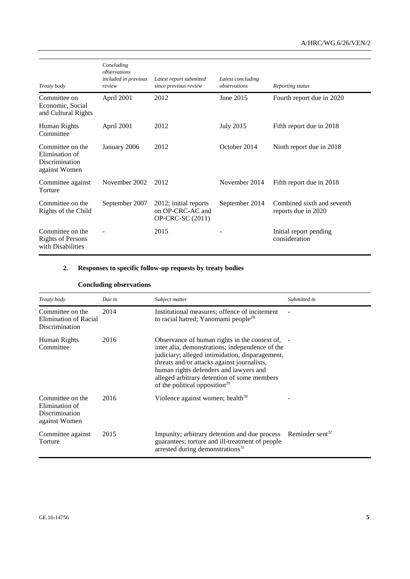| Treaty body                                                           | Concluding<br>observations<br>included in previous<br>review | Latest report submitted<br>since previous review              | Latest concluding<br>observations | Reporting status                                  |
|-----------------------------------------------------------------------|--------------------------------------------------------------|---------------------------------------------------------------|-----------------------------------|---------------------------------------------------|
| Committee on<br>Economic, Social<br>and Cultural Rights               | April 2001                                                   | 2012                                                          | June 2015                         | Fourth report due in 2020                         |
| Human Rights<br>Committee                                             | April 2001                                                   | 2012                                                          | <b>July 2015</b>                  | Fifth report due in 2018                          |
| Committee on the<br>Elimination of<br>Discrimination<br>against Women | January 2006                                                 | 2012                                                          | October 2014                      | Ninth report due in 2018                          |
| Committee against<br>Torture                                          | November 2002                                                | 2012                                                          | November 2014                     | Fifth report due in 2018                          |
| Committee on the<br>Rights of the Child                               | September 2007                                               | 2012; initial reports<br>on OP-CRC-AC and<br>OP-CRC-SC (2011) | September 2014                    | Combined sixth and seventh<br>reports due in 2020 |
| Committee on the<br><b>Rights of Persons</b><br>with Disabilities     |                                                              | 2015                                                          |                                   | Initial report pending<br>consideration           |

# **2. Responses to specific follow-up requests by treaty bodies**

# **Concluding observations**

| Treaty body                                                           | Due in | Subject matter                                                                                                                                                                                                                                                                                                                             | Submitted in                |
|-----------------------------------------------------------------------|--------|--------------------------------------------------------------------------------------------------------------------------------------------------------------------------------------------------------------------------------------------------------------------------------------------------------------------------------------------|-----------------------------|
| Committee on the<br>Elimination of Racial<br>Discrimination           | 2014   | Institutional measures; offence of incitement<br>to racial hatred; Yanomami people <sup>28</sup>                                                                                                                                                                                                                                           |                             |
| Human Rights<br>Committee                                             | 2016   | Observance of human rights in the context of, -<br>inter alia, demonstrations; independence of the<br>judiciary; alleged intimidation, disparagement,<br>threats and/or attacks against journalists,<br>human rights defenders and lawyers and<br>alleged arbitrary detention of some members<br>of the political opposition <sup>29</sup> |                             |
| Committee on the<br>Elimination of<br>Discrimination<br>against Women | 2016   | Violence against women; health $30$                                                                                                                                                                                                                                                                                                        |                             |
| Committee against<br>Torture                                          | 2015   | Impunity; arbitrary detention and due process<br>guarantees; torture and ill-treatment of people<br>arrested during demonstrations <sup>31</sup>                                                                                                                                                                                           | Reminder sent <sup>32</sup> |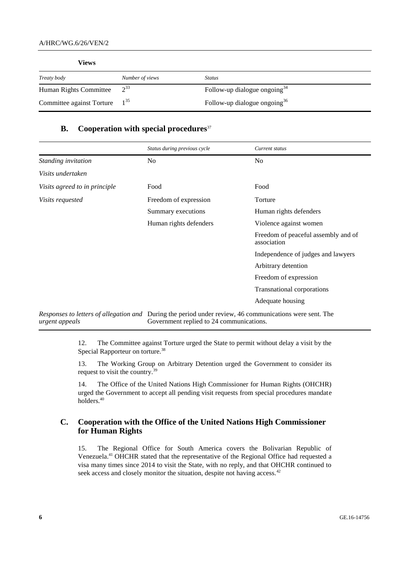| Views                     |                 |                                 |  |
|---------------------------|-----------------|---------------------------------|--|
| Treaty body               | Number of views | <i>Status</i>                   |  |
| Human Rights Committee    | $2^{33}$        | Follow-up dialogue ongoing $34$ |  |
| Committee against Torture | $1^{35}$        | Follow-up dialogue ongoing $36$ |  |

### **B. Cooperation with special procedures**<sup>37</sup>

|                               | Status during previous cycle                                                                                                                        | Current status                                     |
|-------------------------------|-----------------------------------------------------------------------------------------------------------------------------------------------------|----------------------------------------------------|
| Standing invitation           | N <sub>0</sub>                                                                                                                                      | N <sub>0</sub>                                     |
| Visits undertaken             |                                                                                                                                                     |                                                    |
| Visits agreed to in principle | Food                                                                                                                                                | Food                                               |
| <i>Visits requested</i>       | Freedom of expression                                                                                                                               | Torture                                            |
|                               | Summary executions                                                                                                                                  | Human rights defenders                             |
|                               | Human rights defenders                                                                                                                              | Violence against women                             |
|                               |                                                                                                                                                     | Freedom of peaceful assembly and of<br>association |
|                               |                                                                                                                                                     | Independence of judges and lawyers                 |
|                               |                                                                                                                                                     | Arbitrary detention                                |
|                               |                                                                                                                                                     | Freedom of expression                              |
|                               |                                                                                                                                                     | Transnational corporations                         |
|                               |                                                                                                                                                     | Adequate housing                                   |
| urgent appeals                | Responses to letters of allegation and During the period under review, 46 communications were sent. The<br>Government replied to 24 communications. |                                                    |

12. The Committee against Torture urged the State to permit without delay a visit by the Special Rapporteur on torture.<sup>38</sup>

13. The Working Group on Arbitrary Detention urged the Government to consider its request to visit the country.<sup>39</sup>

14. The Office of the United Nations High Commissioner for Human Rights (OHCHR) urged the Government to accept all pending visit requests from special procedures mandate holders.<sup>40</sup>

# **C. Cooperation with the Office of the United Nations High Commissioner for Human Rights**

15. The Regional Office for South America covers the Bolivarian Republic of Venezuela.<sup>41</sup> OHCHR stated that the representative of the Regional Office had requested a visa many times since 2014 to visit the State, with no reply, and that OHCHR continued to seek access and closely monitor the situation, despite not having access.<sup>42</sup>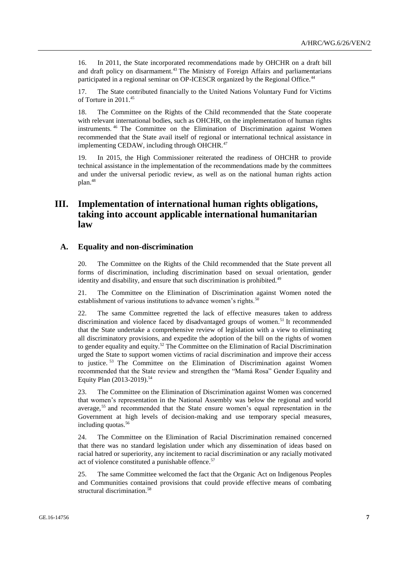16. In 2011, the State incorporated recommendations made by OHCHR on a draft bill and draft policy on disarmament.<sup>43</sup> The Ministry of Foreign Affairs and parliamentarians participated in a regional seminar on OP-ICESCR organized by the Regional Office.<sup>44</sup>

17. The State contributed financially to the United Nations Voluntary Fund for Victims of Torture in 2011.<sup>45</sup>

18. The Committee on the Rights of the Child recommended that the State cooperate with relevant international bodies, such as OHCHR, on the implementation of human rights instruments. <sup>46</sup> The Committee on the Elimination of Discrimination against Women recommended that the State avail itself of regional or international technical assistance in implementing CEDAW, including through OHCHR.<sup>47</sup>

19. In 2015, the High Commissioner reiterated the readiness of OHCHR to provide technical assistance in the implementation of the recommendations made by the committees and under the universal periodic review, as well as on the national human rights action plan.<sup>48</sup>

# **III. Implementation of international human rights obligations, taking into account applicable international humanitarian law**

#### **A. Equality and non-discrimination**

20. The Committee on the Rights of the Child recommended that the State prevent all forms of discrimination, including discrimination based on sexual orientation, gender identity and disability, and ensure that such discrimination is prohibited.<sup>49</sup>

21. The Committee on the Elimination of Discrimination against Women noted the establishment of various institutions to advance women's rights.<sup>50</sup>

22. The same Committee regretted the lack of effective measures taken to address discrimination and violence faced by disadvantaged groups of women.<sup>51</sup> It recommended that the State undertake a comprehensive review of legislation with a view to eliminating all discriminatory provisions, and expedite the adoption of the bill on the rights of women to gender equality and equity.<sup>52</sup> The Committee on the Elimination of Racial Discrimination urged the State to support women victims of racial discrimination and improve their access to justice. <sup>53</sup> The Committee on the Elimination of Discrimination against Women recommended that the State review and strengthen the "Mamá Rosa" Gender Equality and Equity Plan (2013-2019).<sup>54</sup>

23. The Committee on the Elimination of Discrimination against Women was concerned that women's representation in the National Assembly was below the regional and world average,<sup>55</sup> and recommended that the State ensure women's equal representation in the Government at high levels of decision-making and use temporary special measures, including quotas.<sup>56</sup>

24. The Committee on the Elimination of Racial Discrimination remained concerned that there was no standard legislation under which any dissemination of ideas based on racial hatred or superiority, any incitement to racial discrimination or any racially motivated act of violence constituted a punishable offence.<sup>57</sup>

25. The same Committee welcomed the fact that the Organic Act on Indigenous Peoples and Communities contained provisions that could provide effective means of combating structural discrimination.<sup>58</sup>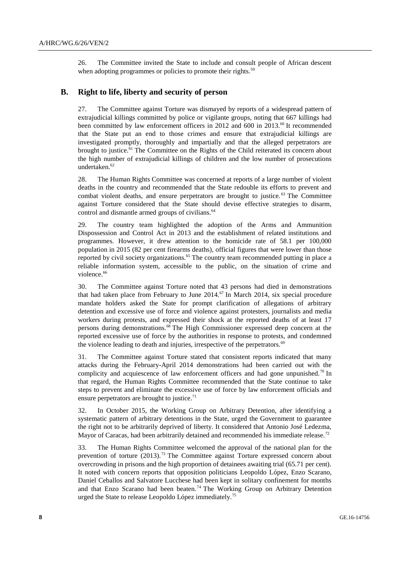26. The Committee invited the State to include and consult people of African descent when adopting programmes or policies to promote their rights.<sup>59</sup>

### **B. Right to life, liberty and security of person**

27. The Committee against Torture was dismayed by reports of a widespread pattern of extrajudicial killings committed by police or vigilante groups, noting that 667 killings had been committed by law enforcement officers in 2012 and 600 in 2013.<sup>60</sup> It recommended that the State put an end to those crimes and ensure that extrajudicial killings are investigated promptly, thoroughly and impartially and that the alleged perpetrators are brought to justice.<sup>61</sup> The Committee on the Rights of the Child reiterated its concern about the high number of extrajudicial killings of children and the low number of prosecutions undertaken.<sup>62</sup>

28. The Human Rights Committee was concerned at reports of a large number of violent deaths in the country and recommended that the State redouble its efforts to prevent and combat violent deaths, and ensure perpetrators are brought to justice.<sup>63</sup> The Committee against Torture considered that the State should devise effective strategies to disarm, control and dismantle armed groups of civilians.<sup>64</sup>

29. The country team highlighted the adoption of the Arms and Ammunition Dispossession and Control Act in 2013 and the establishment of related institutions and programmes. However, it drew attention to the homicide rate of 58.1 per 100,000 population in 2015 (82 per cent firearms deaths), official figures that were lower than those reported by civil society organizations.<sup>65</sup> The country team recommended putting in place a reliable information system, accessible to the public, on the situation of crime and violence. 66

30. The Committee against Torture noted that 43 persons had died in demonstrations that had taken place from February to June  $2014$ .<sup>67</sup> In March 2014, six special procedure mandate holders asked the State for prompt clarification of allegations of arbitrary detention and excessive use of force and violence against protesters, journalists and media workers during protests, and expressed their shock at the reported deaths of at least 17 persons during demonstrations.<sup>68</sup> The High Commissioner expressed deep concern at the reported excessive use of force by the authorities in response to protests, and condemned the violence leading to death and injuries, irrespective of the perpetrators.<sup>69</sup>

31. The Committee against Torture stated that consistent reports indicated that many attacks during the February-April 2014 demonstrations had been carried out with the complicity and acquiescence of law enforcement officers and had gone unpunished.<sup>70</sup> In that regard, the Human Rights Committee recommended that the State continue to take steps to prevent and eliminate the excessive use of force by law enforcement officials and ensure perpetrators are brought to justice. $71$ 

32. In October 2015, the Working Group on Arbitrary Detention, after identifying a systematic pattern of arbitrary detentions in the State, urged the Government to guarantee the right not to be arbitrarily deprived of liberty. It considered that Antonio José Ledezma, Mayor of Caracas, had been arbitrarily detained and recommended his immediate release.<sup>72</sup>

33. The Human Rights Committee welcomed the approval of the national plan for the prevention of torture  $(2013).^{73}$  The Committee against Torture expressed concern about overcrowding in prisons and the high proportion of detainees awaiting trial (65.71 per cent). It noted with concern reports that opposition politicians Leopoldo López, Enzo Scarano, Daniel Ceballos and Salvatore Lucchese had been kept in solitary confinement for months and that Enzo Scarano had been beaten.<sup>74</sup> The Working Group on Arbitrary Detention urged the State to release Leopoldo López immediately.<sup>75</sup>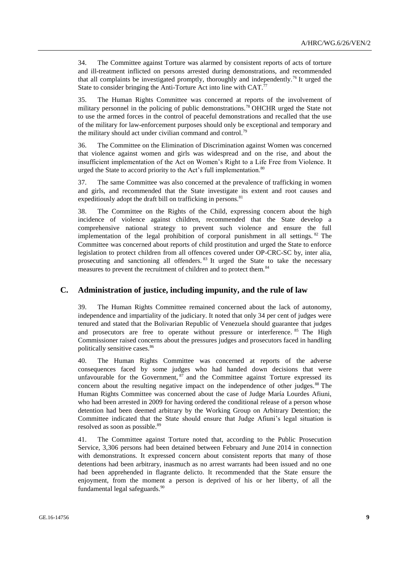34. The Committee against Torture was alarmed by consistent reports of acts of torture and ill-treatment inflicted on persons arrested during demonstrations, and recommended that all complaints be investigated promptly, thoroughly and independently.<sup>76</sup> It urged the State to consider bringing the Anti-Torture Act into line with  $CAT.^{77}$ 

35. The Human Rights Committee was concerned at reports of the involvement of military personnel in the policing of public demonstrations.<sup>78</sup> OHCHR urged the State not to use the armed forces in the control of peaceful demonstrations and recalled that the use of the military for law-enforcement purposes should only be exceptional and temporary and the military should act under civilian command and control.<sup>79</sup>

36. The Committee on the Elimination of Discrimination against Women was concerned that violence against women and girls was widespread and on the rise, and about the insufficient implementation of the Act on Women's Right to a Life Free from Violence. It urged the State to accord priority to the Act's full implementation.<sup>80</sup>

37. The same Committee was also concerned at the prevalence of trafficking in women and girls, and recommended that the State investigate its extent and root causes and expeditiously adopt the draft bill on trafficking in persons.<sup>81</sup>

38. The Committee on the Rights of the Child, expressing concern about the high incidence of violence against children, recommended that the State develop a comprehensive national strategy to prevent such violence and ensure the full implementation of the legal prohibition of corporal punishment in all settings.  $82$  The Committee was concerned about reports of child prostitution and urged the State to enforce legislation to protect children from all offences covered under OP-CRC-SC by, inter alia, prosecuting and sanctioning all offenders.<sup>83</sup> It urged the State to take the necessary measures to prevent the recruitment of children and to protect them.<sup>84</sup>

### **C. Administration of justice, including impunity, and the rule of law**

39. The Human Rights Committee remained concerned about the lack of autonomy, independence and impartiality of the judiciary. It noted that only 34 per cent of judges were tenured and stated that the Bolivarian Republic of Venezuela should guarantee that judges and prosecutors are free to operate without pressure or interference. <sup>85</sup> The High Commissioner raised concerns about the pressures judges and prosecutors faced in handling politically sensitive cases.<sup>86</sup>

40. The Human Rights Committee was concerned at reports of the adverse consequences faced by some judges who had handed down decisions that were unfavourable for the Government,  $\frac{87}{2}$  and the Committee against Torture expressed its concern about the resulting negative impact on the independence of other judges.<sup>88</sup> The Human Rights Committee was concerned about the case of Judge María Lourdes Afiuni, who had been arrested in 2009 for having ordered the conditional release of a person whose detention had been deemed arbitrary by the Working Group on Arbitrary Detention; the Committee indicated that the State should ensure that Judge Afiuni's legal situation is resolved as soon as possible.<sup>89</sup>

41. The Committee against Torture noted that, according to the Public Prosecution Service, 3,306 persons had been detained between February and June 2014 in connection with demonstrations. It expressed concern about consistent reports that many of those detentions had been arbitrary, inasmuch as no arrest warrants had been issued and no one had been apprehended in flagrante delicto. It recommended that the State ensure the enjoyment, from the moment a person is deprived of his or her liberty, of all the fundamental legal safeguards.<sup>90</sup>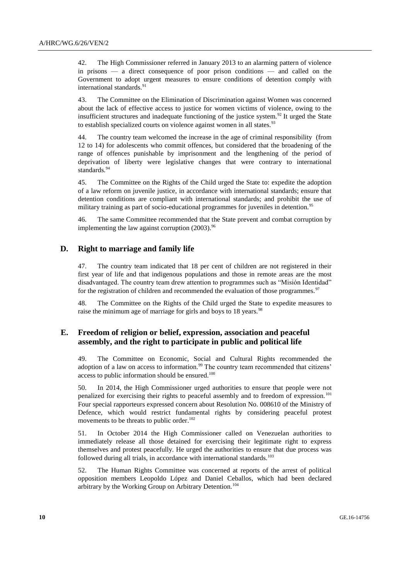42. The High Commissioner referred in January 2013 to an alarming pattern of violence in prisons — a direct consequence of poor prison conditions — and called on the Government to adopt urgent measures to ensure conditions of detention comply with international standards.<sup>91</sup>

43. The Committee on the Elimination of Discrimination against Women was concerned about the lack of effective access to justice for women victims of violence, owing to the insufficient structures and inadequate functioning of the justice system.<sup>92</sup> It urged the State to establish specialized courts on violence against women in all states.<sup>93</sup>

44. The country team welcomed the increase in the age of criminal responsibility (from 12 to 14) for adolescents who commit offences, but considered that the broadening of the range of offences punishable by imprisonment and the lengthening of the period of deprivation of liberty were legislative changes that were contrary to international standards.<sup>94</sup>

45. The Committee on the Rights of the Child urged the State to: expedite the adoption of a law reform on juvenile justice, in accordance with international standards; ensure that detention conditions are compliant with international standards; and prohibit the use of military training as part of socio-educational programmes for juveniles in detention.<sup>95</sup>

46. The same Committee recommended that the State prevent and combat corruption by implementing the law against corruption  $(2003)$ .<sup>96</sup>

# **D. Right to marriage and family life**

47. The country team indicated that 18 per cent of children are not registered in their first year of life and that indigenous populations and those in remote areas are the most disadvantaged. The country team drew attention to programmes such as "Misión Identidad" for the registration of children and recommended the evaluation of those programmes.<sup>97</sup>

48. The Committee on the Rights of the Child urged the State to expedite measures to raise the minimum age of marriage for girls and boys to 18 years.<sup>98</sup>

# **E. Freedom of religion or belief, expression, association and peaceful assembly, and the right to participate in public and political life**

49. The Committee on Economic, Social and Cultural Rights recommended the adoption of a law on access to information.<sup>99</sup> The country team recommended that citizens' access to public information should be ensured.<sup>100</sup>

50. In 2014, the High Commissioner urged authorities to ensure that people were not penalized for exercising their rights to peaceful assembly and to freedom of expression. <sup>101</sup> Four special rapporteurs expressed concern about Resolution No. 008610 of the Ministry of Defence, which would restrict fundamental rights by considering peaceful protest movements to be threats to public order.<sup>102</sup>

51. In October 2014 the High Commissioner called on Venezuelan authorities to immediately release all those detained for exercising their legitimate right to express themselves and protest peacefully. He urged the authorities to ensure that due process was followed during all trials, in accordance with international standards.<sup>103</sup>

52. The Human Rights Committee was concerned at reports of the arrest of political opposition members Leopoldo López and Daniel Ceballos, which had been declared arbitrary by the Working Group on Arbitrary Detention.<sup>104</sup>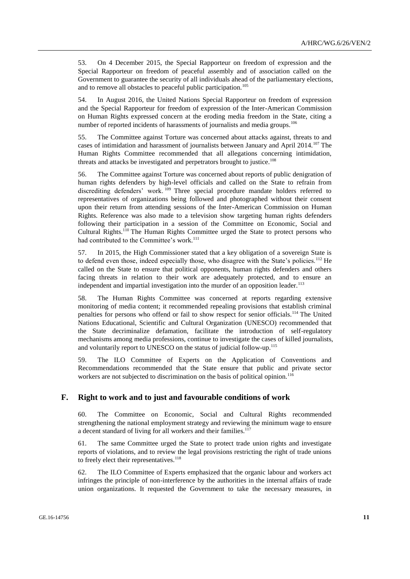53. On 4 December 2015, the Special Rapporteur on freedom of expression and the Special Rapporteur on freedom of peaceful assembly and of association called on the Government to guarantee the security of all individuals ahead of the parliamentary elections, and to remove all obstacles to peaceful public participation.<sup>105</sup>

54. In August 2016, the United Nations Special Rapporteur on freedom of expression and the Special Rapporteur for freedom of expression of the Inter-American Commission on Human Rights expressed concern at the eroding media freedom in the State, citing a number of reported incidents of harassments of journalists and media groups.<sup>106</sup>

55. The Committee against Torture was concerned about attacks against, threats to and cases of intimidation and harassment of journalists between January and April 2014.<sup>107</sup> The Human Rights Committee recommended that all allegations concerning intimidation, threats and attacks be investigated and perpetrators brought to justice.<sup>108</sup>

56. The Committee against Torture was concerned about reports of public denigration of human rights defenders by high-level officials and called on the State to refrain from discrediting defenders' work. <sup>109</sup> Three special procedure mandate holders referred to representatives of organizations being followed and photographed without their consent upon their return from attending sessions of the Inter-American Commission on Human Rights. Reference was also made to a television show targeting human rights defenders following their participation in a session of the Committee on Economic, Social and Cultural Rights.<sup>110</sup> The Human Rights Committee urged the State to protect persons who had contributed to the Committee's work.<sup>111</sup>

57. In 2015, the High Commissioner stated that a key obligation of a sovereign State is to defend even those, indeed especially those, who disagree with the State's policies.<sup>112</sup> He called on the State to ensure that political opponents, human rights defenders and others facing threats in relation to their work are adequately protected, and to ensure an independent and impartial investigation into the murder of an opposition leader.<sup>113</sup>

58. The Human Rights Committee was concerned at reports regarding extensive monitoring of media content; it recommended repealing provisions that establish criminal penalties for persons who offend or fail to show respect for senior officials.<sup>114</sup> The United Nations Educational, Scientific and Cultural Organization (UNESCO) recommended that the State decriminalize defamation, facilitate the introduction of self-regulatory mechanisms among media professions, continue to investigate the cases of killed journalists, and voluntarily report to UNESCO on the status of judicial follow-up.<sup>115</sup>

59. The ILO Committee of Experts on the Application of Conventions and Recommendations recommended that the State ensure that public and private sector workers are not subjected to discrimination on the basis of political opinion.<sup>116</sup>

# **F. Right to work and to just and favourable conditions of work**

60. The Committee on Economic, Social and Cultural Rights recommended strengthening the national employment strategy and reviewing the minimum wage to ensure a decent standard of living for all workers and their families.<sup>117</sup>

61. The same Committee urged the State to protect trade union rights and investigate reports of violations, and to review the legal provisions restricting the right of trade unions to freely elect their representatives.<sup>118</sup>

62. The ILO Committee of Experts emphasized that the organic labour and workers act infringes the principle of non-interference by the authorities in the internal affairs of trade union organizations. It requested the Government to take the necessary measures, in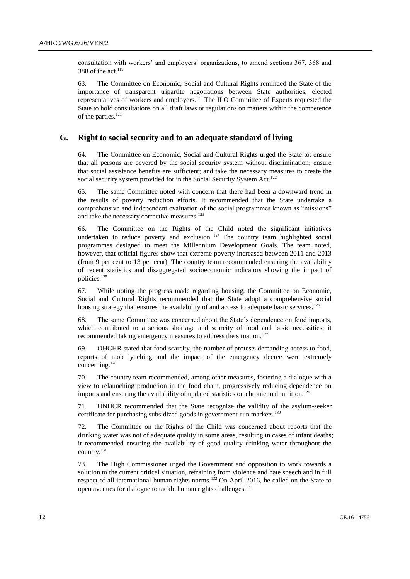consultation with workers' and employers' organizations, to amend sections 367, 368 and 388 of the act. $119$ 

63. The Committee on Economic, Social and Cultural Rights reminded the State of the importance of transparent tripartite negotiations between State authorities, elected representatives of workers and employers.<sup>120</sup> The ILO Committee of Experts requested the State to hold consultations on all draft laws or regulations on matters within the competence of the parties.<sup>121</sup>

### **G. Right to social security and to an adequate standard of living**

64. The Committee on Economic, Social and Cultural Rights urged the State to: ensure that all persons are covered by the social security system without discrimination; ensure that social assistance benefits are sufficient; and take the necessary measures to create the social security system provided for in the Social Security System Act.<sup>122</sup>

65. The same Committee noted with concern that there had been a downward trend in the results of poverty reduction efforts. It recommended that the State undertake a comprehensive and independent evaluation of the social programmes known as "missions" and take the necessary corrective measures.<sup>123</sup>

66. The Committee on the Rights of the Child noted the significant initiatives undertaken to reduce poverty and exclusion.<sup>124</sup> The country team highlighted social programmes designed to meet the Millennium Development Goals. The team noted, however, that official figures show that extreme poverty increased between 2011 and 2013 (from 9 per cent to 13 per cent). The country team recommended ensuring the availability of recent statistics and disaggregated socioeconomic indicators showing the impact of policies.<sup>125</sup>

67. While noting the progress made regarding housing, the Committee on Economic, Social and Cultural Rights recommended that the State adopt a comprehensive social housing strategy that ensures the availability of and access to adequate basic services.<sup>126</sup>

68. The same Committee was concerned about the State's dependence on food imports, which contributed to a serious shortage and scarcity of food and basic necessities; it recommended taking emergency measures to address the situation.<sup>127</sup>

69. OHCHR stated that food scarcity, the number of protests demanding access to food, reports of mob lynching and the impact of the emergency decree were extremely concerning.<sup>128</sup>

70. The country team recommended, among other measures, fostering a dialogue with a view to relaunching production in the food chain, progressively reducing dependence on imports and ensuring the availability of updated statistics on chronic malnutrition.<sup>129</sup>

71. UNHCR recommended that the State recognize the validity of the asylum-seeker certificate for purchasing subsidized goods in government-run markets.<sup>130</sup>

72. The Committee on the Rights of the Child was concerned about reports that the drinking water was not of adequate quality in some areas, resulting in cases of infant deaths; it recommended ensuring the availability of good quality drinking water throughout the country.<sup>131</sup>

73. The High Commissioner urged the Government and opposition to work towards a solution to the current critical situation, refraining from violence and hate speech and in full respect of all international human rights norms.<sup>132</sup> On April 2016, he called on the State to open avenues for dialogue to tackle human rights challenges.<sup>133</sup>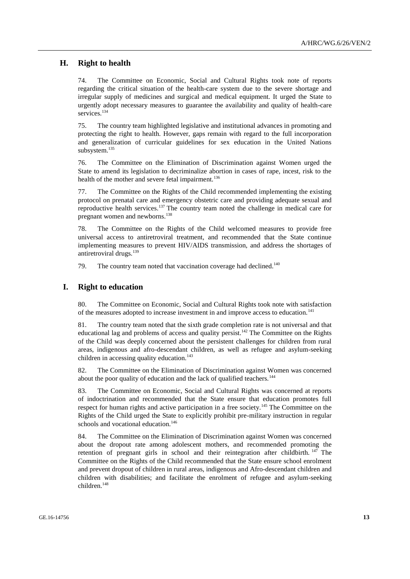# **H. Right to health**

74. The Committee on Economic, Social and Cultural Rights took note of reports regarding the critical situation of the health-care system due to the severe shortage and irregular supply of medicines and surgical and medical equipment. It urged the State to urgently adopt necessary measures to guarantee the availability and quality of health-care services.<sup>134</sup>

75. The country team highlighted legislative and institutional advances in promoting and protecting the right to health. However, gaps remain with regard to the full incorporation and generalization of curricular guidelines for sex education in the United Nations subsystem.<sup>135</sup>

76. The Committee on the Elimination of Discrimination against Women urged the State to amend its legislation to decriminalize abortion in cases of rape, incest, risk to the health of the mother and severe fetal impairment.<sup>136</sup>

77. The Committee on the Rights of the Child recommended implementing the existing protocol on prenatal care and emergency obstetric care and providing adequate sexual and reproductive health services.<sup>137</sup> The country team noted the challenge in medical care for pregnant women and newborns.<sup>138</sup>

78. The Committee on the Rights of the Child welcomed measures to provide free universal access to antiretroviral treatment, and recommended that the State continue implementing measures to prevent HIV/AIDS transmission, and address the shortages of antiretroviral drugs.<sup>139</sup>

79. The country team noted that vaccination coverage had declined.<sup>140</sup>

#### **I. Right to education**

80. The Committee on Economic, Social and Cultural Rights took note with satisfaction of the measures adopted to increase investment in and improve access to education.<sup>141</sup>

81. The country team noted that the sixth grade completion rate is not universal and that educational lag and problems of access and quality persist.<sup>142</sup> The Committee on the Rights of the Child was deeply concerned about the persistent challenges for children from rural areas, indigenous and afro-descendant children, as well as refugee and asylum-seeking children in accessing quality education.<sup>143</sup>

82. The Committee on the Elimination of Discrimination against Women was concerned about the poor quality of education and the lack of qualified teachers.<sup>144</sup>

83. The Committee on Economic, Social and Cultural Rights was concerned at reports of indoctrination and recommended that the State ensure that education promotes full respect for human rights and active participation in a free society.<sup>145</sup> The Committee on the Rights of the Child urged the State to explicitly prohibit pre-military instruction in regular schools and vocational education.<sup>146</sup>

84. The Committee on the Elimination of Discrimination against Women was concerned about the dropout rate among adolescent mothers, and recommended promoting the retention of pregnant girls in school and their reintegration after childbirth. <sup>147</sup> The Committee on the Rights of the Child recommended that the State ensure school enrolment and prevent dropout of children in rural areas, indigenous and Afro-descendant children and children with disabilities; and facilitate the enrolment of refugee and asylum-seeking children.148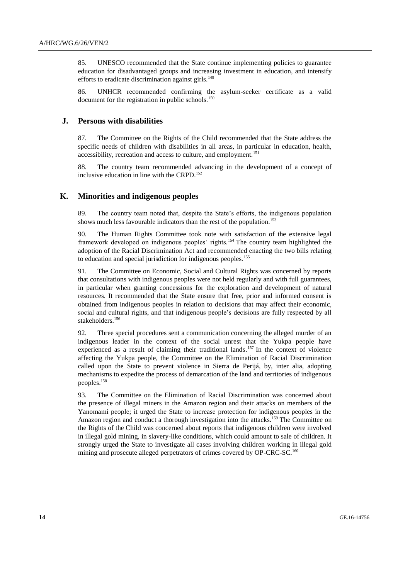85. UNESCO recommended that the State continue implementing policies to guarantee education for disadvantaged groups and increasing investment in education, and intensify efforts to eradicate discrimination against girls. $149$ 

86. UNHCR recommended confirming the asylum-seeker certificate as a valid document for the registration in public schools.<sup>150</sup>

### **J. Persons with disabilities**

87. The Committee on the Rights of the Child recommended that the State address the specific needs of children with disabilities in all areas, in particular in education, health, accessibility, recreation and access to culture, and employment.<sup>151</sup>

88. The country team recommended advancing in the development of a concept of inclusive education in line with the CRPD. 152

### **K. Minorities and indigenous peoples**

89. The country team noted that, despite the State's efforts, the indigenous population shows much less favourable indicators than the rest of the population.<sup>153</sup>

90. The Human Rights Committee took note with satisfaction of the extensive legal framework developed on indigenous peoples' rights.<sup>154</sup> The country team highlighted the adoption of the Racial Discrimination Act and recommended enacting the two bills relating to education and special jurisdiction for indigenous peoples. 155

91. The Committee on Economic, Social and Cultural Rights was concerned by reports that consultations with indigenous peoples were not held regularly and with full guarantees, in particular when granting concessions for the exploration and development of natural resources. It recommended that the State ensure that free, prior and informed consent is obtained from indigenous peoples in relation to decisions that may affect their economic, social and cultural rights, and that indigenous people's decisions are fully respected by all stakeholders.<sup>156</sup>

92. Three special procedures sent a communication concerning the alleged murder of an indigenous leader in the context of the social unrest that the Yukpa people have experienced as a result of claiming their traditional lands.<sup>157</sup> In the context of violence affecting the Yukpa people, the Committee on the Elimination of Racial Discrimination called upon the State to prevent violence in Sierra de Perijá, by, inter alia, adopting mechanisms to expedite the process of demarcation of the land and territories of indigenous peoples.<sup>158</sup>

93. The Committee on the Elimination of Racial Discrimination was concerned about the presence of illegal miners in the Amazon region and their attacks on members of the Yanomami people; it urged the State to increase protection for indigenous peoples in the Amazon region and conduct a thorough investigation into the attacks.<sup>159</sup> The Committee on the Rights of the Child was concerned about reports that indigenous children were involved in illegal gold mining, in slavery-like conditions, which could amount to sale of children. It strongly urged the State to investigate all cases involving children working in illegal gold mining and prosecute alleged perpetrators of crimes covered by OP-CRC-SC.<sup>160</sup>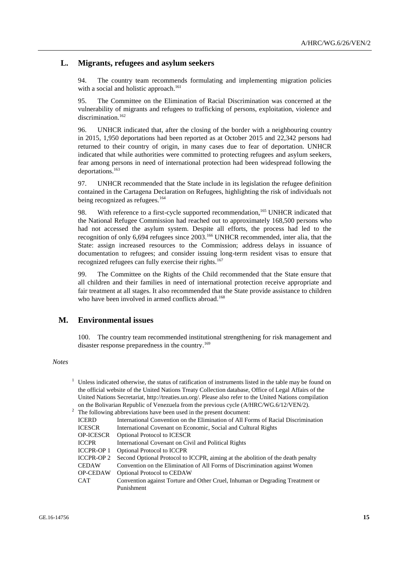# **L. Migrants, refugees and asylum seekers**

94. The country team recommends formulating and implementing migration policies with a social and holistic approach.<sup>161</sup>

95. The Committee on the Elimination of Racial Discrimination was concerned at the vulnerability of migrants and refugees to trafficking of persons, exploitation, violence and discrimination.<sup>162</sup>

96. UNHCR indicated that, after the closing of the border with a neighbouring country in 2015, 1,950 deportations had been reported as at October 2015 and 22,342 persons had returned to their country of origin, in many cases due to fear of deportation. UNHCR indicated that while authorities were committed to protecting refugees and asylum seekers, fear among persons in need of international protection had been widespread following the deportations.<sup>163</sup>

97. UNHCR recommended that the State include in its legislation the refugee definition contained in the Cartagena Declaration on Refugees, highlighting the risk of individuals not being recognized as refugees.<sup>164</sup>

98. With reference to a first-cycle supported recommendation,<sup>165</sup> UNHCR indicated that the National Refugee Commission had reached out to approximately 168,500 persons who had not accessed the asylum system. Despite all efforts, the process had led to the recognition of only 6,694 refugees since 2003.<sup>166</sup> UNHCR recommended, inter alia, that the State: assign increased resources to the Commission; address delays in issuance of documentation to refugees; and consider issuing long-term resident visas to ensure that recognized refugees can fully exercise their rights.<sup>167</sup>

99. The Committee on the Rights of the Child recommended that the State ensure that all children and their families in need of international protection receive appropriate and fair treatment at all stages. It also recommended that the State provide assistance to children who have been involved in armed conflicts abroad.<sup>168</sup>

# **M. Environmental issues**

100. The country team recommended institutional strengthening for risk management and disaster response preparedness in the country.<sup>169</sup>

#### *Notes*

| <sup>1</sup> Unless indicated otherwise, the status of ratification of instruments listed in the table may be found on |                                                                                                          |  |  |
|------------------------------------------------------------------------------------------------------------------------|----------------------------------------------------------------------------------------------------------|--|--|
|                                                                                                                        | the official website of the United Nations Treaty Collection database, Office of Legal Affairs of the    |  |  |
|                                                                                                                        | United Nations Secretariat, http://treaties.un.org/. Please also refer to the United Nations compilation |  |  |
|                                                                                                                        | on the Bolivarian Republic of Venezuela from the previous cycle (A/HRC/WG.6/12/VEN/2).                   |  |  |
|                                                                                                                        | The following abbreviations have been used in the present document:                                      |  |  |
| <b>ICERD</b>                                                                                                           | International Convention on the Elimination of All Forms of Racial Discrimination                        |  |  |
| <b>ICESCR</b>                                                                                                          | International Covenant on Economic, Social and Cultural Rights                                           |  |  |
| <b>OP-ICESCR</b>                                                                                                       | <b>Optional Protocol to ICESCR</b>                                                                       |  |  |
| <b>ICCPR</b>                                                                                                           | International Covenant on Civil and Political Rights                                                     |  |  |
| <b>ICCPR-OP1</b>                                                                                                       | <b>Optional Protocol to ICCPR</b>                                                                        |  |  |
| <b>ICCPR-OP 2</b>                                                                                                      | Second Optional Protocol to ICCPR, aiming at the abolition of the death penalty                          |  |  |
| <b>CEDAW</b>                                                                                                           | Convention on the Elimination of All Forms of Discrimination against Women                               |  |  |
| <b>OP-CEDAW</b>                                                                                                        | <b>Optional Protocol to CEDAW</b>                                                                        |  |  |
| <b>CAT</b>                                                                                                             | Convention against Torture and Other Cruel, Inhuman or Degrading Treatment or                            |  |  |
|                                                                                                                        | Punishment                                                                                               |  |  |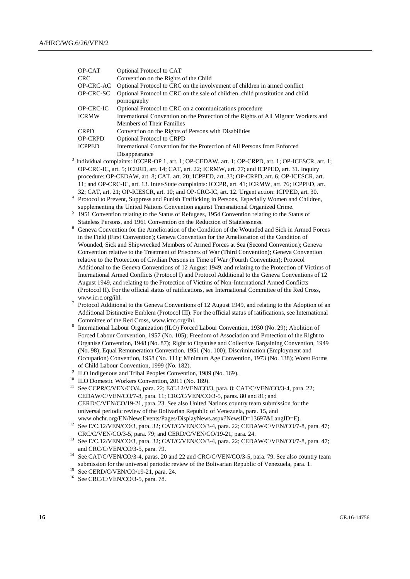|                | OP-CAT                                                                                                                      | Optional Protocol to CAT                                                                                                                                                                          |
|----------------|-----------------------------------------------------------------------------------------------------------------------------|---------------------------------------------------------------------------------------------------------------------------------------------------------------------------------------------------|
|                | <b>CRC</b>                                                                                                                  | Convention on the Rights of the Child                                                                                                                                                             |
|                | OP-CRC-AC                                                                                                                   | Optional Protocol to CRC on the involvement of children in armed conflict                                                                                                                         |
|                | OP-CRC-SC                                                                                                                   | Optional Protocol to CRC on the sale of children, child prostitution and child                                                                                                                    |
|                |                                                                                                                             | pornography                                                                                                                                                                                       |
|                | <b>OP-CRC-IC</b>                                                                                                            | Optional Protocol to CRC on a communications procedure                                                                                                                                            |
|                | <b>ICRMW</b>                                                                                                                | International Convention on the Protection of the Rights of All Migrant Workers and                                                                                                               |
|                |                                                                                                                             | <b>Members of Their Families</b>                                                                                                                                                                  |
|                | <b>CRPD</b>                                                                                                                 | Convention on the Rights of Persons with Disabilities                                                                                                                                             |
|                | OP-CRPD                                                                                                                     | <b>Optional Protocol to CRPD</b>                                                                                                                                                                  |
|                | <b>ICPPED</b>                                                                                                               | International Convention for the Protection of All Persons from Enforced                                                                                                                          |
|                |                                                                                                                             | Disappearance                                                                                                                                                                                     |
|                |                                                                                                                             | Individual complaints: ICCPR-OP 1, art. 1; OP-CEDAW, art. 1; OP-CRPD, art. 1; OP-ICESCR, art. 1;                                                                                                  |
|                |                                                                                                                             | OP-CRC-IC, art. 5; ICERD, art. 14; CAT, art. 22; ICRMW, art. 77; and ICPPED, art. 31. Inquiry                                                                                                     |
|                |                                                                                                                             | procedure: OP-CEDAW, art. 8; CAT, art. 20; ICPPED, art. 33; OP-CRPD, art. 6; OP-ICESCR, art.                                                                                                      |
|                |                                                                                                                             | 11; and OP-CRC-IC, art. 13. Inter-State complaints: ICCPR, art. 41; ICRMW, art. 76; ICPPED, art.                                                                                                  |
|                |                                                                                                                             | 32; CAT, art. 21; OP-ICESCR, art. 10; and OP-CRC-IC, art. 12. Urgent action: ICPPED, art. 30.                                                                                                     |
| $\overline{4}$ |                                                                                                                             | Protocol to Prevent, Suppress and Punish Trafficking in Persons, Especially Women and Children,                                                                                                   |
| 5              |                                                                                                                             | supplementing the United Nations Convention against Transnational Organized Crime.                                                                                                                |
|                |                                                                                                                             | 1951 Convention relating to the Status of Refugees, 1954 Convention relating to the Status of                                                                                                     |
| 6              |                                                                                                                             | Stateless Persons, and 1961 Convention on the Reduction of Statelessness.                                                                                                                         |
|                |                                                                                                                             | Geneva Convention for the Amelioration of the Condition of the Wounded and Sick in Armed Forces                                                                                                   |
|                |                                                                                                                             | in the Field (First Convention); Geneva Convention for the Amelioration of the Condition of                                                                                                       |
|                |                                                                                                                             | Wounded, Sick and Shipwrecked Members of Armed Forces at Sea (Second Convention); Geneva                                                                                                          |
|                |                                                                                                                             | Convention relative to the Treatment of Prisoners of War (Third Convention); Geneva Convention                                                                                                    |
|                |                                                                                                                             | relative to the Protection of Civilian Persons in Time of War (Fourth Convention); Protocol                                                                                                       |
|                |                                                                                                                             | Additional to the Geneva Conventions of 12 August 1949, and relating to the Protection of Victims of                                                                                              |
|                |                                                                                                                             | International Armed Conflicts (Protocol I) and Protocol Additional to the Geneva Conventions of 12<br>August 1949, and relating to the Protection of Victims of Non-International Armed Conflicts |
|                |                                                                                                                             |                                                                                                                                                                                                   |
|                | (Protocol II). For the official status of ratifications, see International Committee of the Red Cross,<br>www.icrc.org/ihl. |                                                                                                                                                                                                   |
| $\tau$         | Protocol Additional to the Geneva Conventions of 12 August 1949, and relating to the Adoption of an                         |                                                                                                                                                                                                   |
|                |                                                                                                                             | Additional Distinctive Emblem (Protocol III). For the official status of ratifications, see International                                                                                         |
|                |                                                                                                                             | Committee of the Red Cross, www.icrc.org/ihl.                                                                                                                                                     |
| 8              |                                                                                                                             | International Labour Organization (ILO) Forced Labour Convention, 1930 (No. 29); Abolition of                                                                                                     |
|                |                                                                                                                             | Forced Labour Convention, 1957 (No. 105); Freedom of Association and Protection of the Right to                                                                                                   |
|                |                                                                                                                             | Organise Convention, 1948 (No. 87); Right to Organise and Collective Bargaining Convention, 1949                                                                                                  |
|                |                                                                                                                             | (No. 98); Equal Remuneration Convention, 1951 (No. 100); Discrimination (Employment and                                                                                                           |
|                |                                                                                                                             | Occupation) Convention, 1958 (No. 111); Minimum Age Convention, 1973 (No. 138); Worst Forms                                                                                                       |
|                |                                                                                                                             | of Child Labour Convention, 1999 (No. 182).                                                                                                                                                       |
| 9              |                                                                                                                             | ILO Indigenous and Tribal Peoples Convention, 1989 (No. 169).                                                                                                                                     |
|                |                                                                                                                             | ILO Domestic Workers Convention, 2011 (No. 189).                                                                                                                                                  |
| 11             |                                                                                                                             | See CCPR/C/VEN/CO/4, para. 22; E/C.12/VEN/CO/3, para. 8; CAT/C/VEN/CO/3-4, para. 22;                                                                                                              |
|                |                                                                                                                             | CEDAW/C/VEN/CO/7-8, para. 11; CRC/C/VEN/CO/3-5, paras. 80 and 81; and                                                                                                                             |
|                |                                                                                                                             | CERD/C/VEN/CO/19-21, para. 23. See also United Nations country team submission for the                                                                                                            |
|                |                                                                                                                             | universal periodic review of the Bolivarian Republic of Venezuela, para. 15, and                                                                                                                  |
|                |                                                                                                                             | www.ohchr.org/EN/NewsEvents/Pages/DisplayNews.aspx?NewsID=13697&LangID=E).                                                                                                                        |
| 12             |                                                                                                                             | See E/C.12/VEN/CO/3, para. 32; CAT/C/VEN/CO/3-4, para. 22; CEDAW/C/VEN/CO/7-8, para. 47;                                                                                                          |
|                |                                                                                                                             | CRC/C/VEN/CO/3-5, para. 79; and CERD/C/VEN/CO/19-21, para. 24.                                                                                                                                    |
| 13             |                                                                                                                             | See E/C.12/VEN/CO/3, para. 32; CAT/C/VEN/CO/3-4, para. 22; CEDAW/C/VEN/CO/7-8, para. 47;                                                                                                          |
|                |                                                                                                                             | and CRC/C/VEN/CO/3-5, para. 79.                                                                                                                                                                   |
| 14             |                                                                                                                             | See CAT/C/VEN/CO/3-4, paras. 20 and 22 and CRC/C/VEN/CO/3-5, para. 79. See also country team                                                                                                      |
|                |                                                                                                                             | submission for the universal periodic review of the Bolivarian Republic of Venezuela, para. 1.                                                                                                    |
| 15             |                                                                                                                             | See CERD/C/VEN/CO/19-21, para. 24.                                                                                                                                                                |
| 16             |                                                                                                                             | See CRC/C/VEN/CO/3-5, para. 78.                                                                                                                                                                   |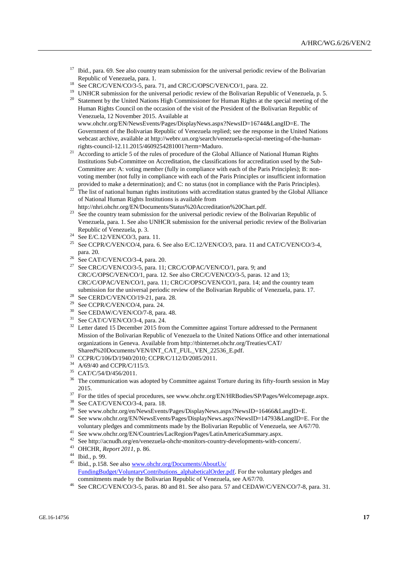- <sup>17</sup> Ibid., para. 69. See also country team submission for the universal periodic review of the Bolivarian Republic of Venezuela, para. 1.
- <sup>18</sup> See CRC/C/VEN/CO/3-5, para. 71, and CRC/C/OPSC/VEN/CO/1, para. 22.
- <sup>19</sup> UNHCR submission for the universal periodic review of the Bolivarian Republic of Venezuela, p. 5.<br><sup>20</sup> Statement by the United National United Commissions for Universe Dights at the gravital marting of the
- <sup>20</sup> Statement by the United Nations High Commissioner for Human Rights at the special meeting of the Human Rights Council on the occasion of the visit of the President of the Bolivarian Republic of Venezuela, 12 November 2015. Available at [www.ohchr.org/EN/NewsEvents/Pages/DisplayNews.aspx?NewsID=16744&LangID=E.](file:///C:/Users/Andres.Sanchez/AppData/Local/Temp/notes9B1E03/www.ohchr.org/EN/NewsEvents/Pages/DisplayNews.aspx%3fNewsID=16744&LangID=E) The Government of the Bolivarian Republic of Venezuela replied; see the response in the United Nations webcast archive, available at http://webtv.un.org/search/venezuela-special-meeting-of-the-humanrights-council-12.11.2015/4609254281001?term=Maduro.
- <sup>21</sup> According to article 5 of the rules of procedure of the Global Alliance of National Human Rights Institutions Sub-Committee on Accreditation, the classifications for accreditation used by the Sub-Committee are: A: voting member (fully in compliance with each of the Paris Principles); B: nonvoting member (not fully in compliance with each of the Paris Principles or insufficient information provided to make a determination); and C: no status (not in compliance with the Paris Principles).
- $22$  The list of national human rights institutions with accreditation status granted by the Global Alliance of National Human Rights Institutions is available from http://nhri.ohchr.org/EN/Documents/Status%20Accreditation%20Chart.pdf.
- <sup>23</sup> See the country team submission for the universal periodic review of the Bolivarian Republic of Venezuela, para. 1. See also UNHCR submission for the universal periodic review of the Bolivarian Republic of Venezuela, p. 3.
- <sup>24</sup> See E/C.12/VEN/CO/3, para. 11.
- See CCPR/C/VEN/CO/4, para. 6. See also E/C.12/VEN/CO/3, para. 11 and CAT/C/VEN/CO/3-4, para. 20.
- $\frac{26}{27}$  See CAT/C/VEN/CO/3-4, para. 20.
- See CRC/C/VEN/CO/3-5, para. 11; CRC/C/OPAC/VEN/CO/1, para. 9; and CRC/C/OPSC/VEN/CO/1, para. 12. See also CRC/C/VEN/CO/3-5, paras. 12 and 13; CRC/C/OPAC/VEN/CO/1, para. 11; CRC/C/OPSC/VEN/CO/1, para. 14; and the country team submission for the universal periodic review of the Bolivarian Republic of Venezuela, para. 17.
- <sup>28</sup> See CERD/C/VEN/CO/19-21, para. 28.
- <sup>29</sup> See CCPR/C/VEN/CO/4, para. 24.
- <sup>30</sup> See CEDAW/C/VEN/CO/7-8, para. 48.
- <sup>31</sup> See CAT/C/VEN/CO/3-4, para. 24.
- <sup>32</sup> Letter dated 15 December 2015 from the Committee against Torture addressed to the Permanent Mission of the Bolivarian Republic of Venezuela to the United Nations Office and other international organizations in Geneva. Available from http://tbinternet.ohchr.org/Treaties/CAT/ Shared%20Documents/VEN/INT\_CAT\_FUL\_VEN\_22536\_E.pdf.
- <sup>33</sup> CCPR/C/106/D/1940/2010; CCPR/C/112/D/2085/2011.
- <sup>34</sup> A/69/40 and CCPR/C/115/3.
- <sup>35</sup> CAT/C/54/D/456/2011.
- <sup>36</sup> The communication was adopted by Committee against Torture during its fifty-fourth session in May 2015.
- <sup>37</sup> For the titles of special procedures, see www.ohchr.org/EN/HRBodies/SP/Pages/Welcomepage.aspx.
- <sup>38</sup> See CAT/C/VEN/CO/3-4, para. 18.
- <sup>39</sup> See www.ohchr.org/en/NewsEvents/Pages/DisplayNews.aspx?NewsID=16466&LangID=E.
- <sup>40</sup> See www.ohchr.org/EN/NewsEvents/Pages/DisplayNews.aspx?NewsID=14793&LangID=E. For the voluntary pledges and commitments made by the Bolivarian Republic of Venezuela, see A/67/70.
- <sup>41</sup> See www.ohchr.org/EN/Countries/LacRegion/Pages/LatinAmericaSummary.aspx.
- <sup>42</sup> See http://acnudh.org/en/venezuela-ohchr-monitors-country-developments-with-concern/.<br><sup>43</sup> OUCUD,  $P_{\text{max}}$  (2011 = 26
- <sup>43</sup> OHCHR, *Report 2011*, p. 86.
- <sup>44</sup> Ibid., p. 99.
- <sup>45</sup> Ibid., p.158. See also [www.ohchr.org/Documents/AboutUs/](http://www.ohchr.org/Documents/AboutUs/%0bFundingBudget/VoluntaryContributions_alphabeticalOrder.pdf) [FundingBudget/VoluntaryContributions\\_alphabeticalOrder.pdf.](http://www.ohchr.org/Documents/AboutUs/%0bFundingBudget/VoluntaryContributions_alphabeticalOrder.pdf) For the voluntary pledges and commitments made by the Bolivarian Republic of Venezuela, see A/67/70.
- <sup>46</sup> See CRC/C/VEN/CO/3-5, paras. 80 and 81. See also para. 57 and CEDAW/C/VEN/CO/7-8, para. 31.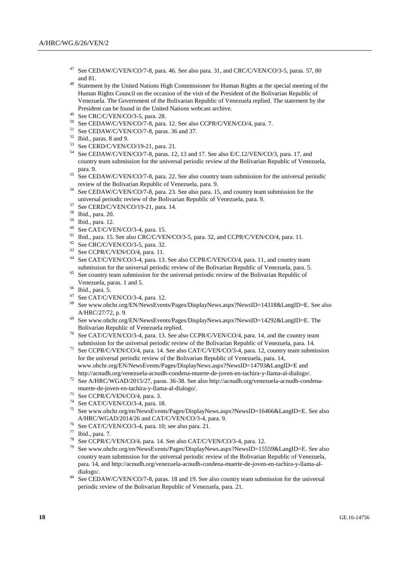- See CEDAW/C/VEN/CO/7-8, para. 46. See also para. 31, and CRC/C/VEN/CO/3-5, paras. 57, 80 and 81.
- <sup>48</sup> Statement by the United Nations High Commissioner for Human Rights at the special meeting of the Human Rights Council on the occasion of the visit of the President of the Bolivarian Republic of Venezuela. The Government of the Bolivarian Republic of Venezuela replied. The statement by the President can be found in the United Nations webcast archive.
- <sup>49</sup> See CRC/C/VEN/CO/3-5, para. 28.<br> $^{50}$  See CEDAW/CA/EN/CO/7.8, para.
- See CEDAW/C/VEN/CO/7-8, para. 12. See also CCPR/C/VEN/CO/4, para. 7.
- <sup>51</sup> See CEDAW/C/VEN/CO/7-8, paras. 36 and 37.
- <sup>52</sup> Ibid., paras. 8 and 9.
- <sup>53</sup> See CERD/C/VEN/CO/19-21, para. 21.
- <sup>54</sup> See CEDAW/C/VEN/CO/7-8, paras. 12, 13 and 17. See also E/C.12/VEN/CO/3, para. 17, and country team submission for the universal periodic review of the Bolivarian Republic of Venezuela, para. 9.
- <sup>55</sup> See CEDAW/C/VEN/CO/7-8, para. 22. See also country team submission for the universal periodic review of the Bolivarian Republic of Venezuela, para. 9.
- <sup>56</sup> See CEDAW/C/VEN/CO/7-8, para. 23. See also para. 15, and country team submission for the universal periodic review of the Bolivarian Republic of Venezuela, para. 9.
- $57$  See CERD/C/VEN/CO/19-21, para. 14.
- <sup>58</sup> Ibid., para. 20.
- <sup>59</sup> Ibid., para. 12.
- <sup>60</sup> See CAT/C/VEN/CO/3-4, para. 15.
- <sup>61</sup> Ibid., para. 15. See also CRC/C/VEN/CO/3-5, para. 32, and CCPR/C/VEN/CO/4, para. 11.<br><sup>62</sup> See CRC/C/VEN/CO/3-5, para. 32
- See CRC/C/VEN/CO/3-5, para. 32.
- <sup>63</sup> See CCPR/C/VEN/CO/4, para. 11.<br><sup>64</sup> See CAT/C/VEN/CO/3-4, para. 13
- See CAT/C/VEN/CO/3-4, para. 13. See also CCPR/C/VEN/CO/4, para. 11, and country team submission for the universal periodic review of the Bolivarian Republic of Venezuela, para. 5.
- <sup>65</sup> See country team submission for the universal periodic review of the Bolivarian Republic of Venezuela, paras. 1 and 5.
- $^{66}$  Ibid., para. 5.
- $^{67}$  See CAT/C/VEN/CO/3-4, para. 12.<br> $^{68}$  See www.ebshr.org/EN/NewsEyers
- <sup>68</sup> See www.ohchr.org/EN/NewsEvents/Pages/DisplayNews.aspx?NewsID=14318&LangID=E. See also A/HRC/27/72, p. 9.
- <sup>69</sup> See www.ohchr.org/EN/NewsEvents/Pages/DisplayNews.aspx?NewsID=14292&LangID=E. The Bolivarian Republic of Venezuela replied.
- <sup>70</sup> See CAT/C/VEN/CO/3-4, para. 13. See also CCPR/C/VEN/CO/4, para. 14, and the country team submission for the universal periodic review of the Bolivarian Republic of Venezuela, para. 14.
- <sup>71</sup> See CCPR/C/VEN/CO/4, para. 14. See also CAT/C/VEN/CO/3-4, para. 12, country team submission for the universal periodic review of the Bolivarian Republic of Venezuela, para. 14, [www.ohchr.org/EN/NewsEvents/Pages/DisplayNews.aspx?NewsID=14793&LangID=E](http://www.ohchr.org/EN/NewsEvents/Pages/DisplayNews.aspx?NewsID=14793&LangID=E) and
- http://acnudh.org/venezuela-acnudh-condena-muerte-de-joven-en-tachira-y-llama-al-dialogo/. <sup>72</sup> See A/HRC/WGAD/2015/27, paras. 36-38. See also http://acnudh.org/venezuela-acnudh-condenamuerte-de-joven-en-tachira-y-llama-al-dialogo/.
- <sup>73</sup> See CCPR/C/VEN/CO/4, para. 3.
- <sup>74</sup> See CAT/C/VEN/CO/3-4, para. 18.
- <sup>75</sup> See www.ohchr.org/en/NewsEvents/Pages/DisplayNews.aspx?NewsID=16466&LangID=E. See also A/HRC/WGAD/2014/26 and CAT/C/VEN/CO/3-4, para. 9.
- <sup>76</sup> See CAT/C/VEN/CO/3-4, para. 10; see also para. 21.
- <sup>77</sup> Ibid., para. 7.
- <sup>78</sup> See CCPR/C/VEN/CO/4, para. 14. See also CAT/C/VEN/CO/3-4, para. 12.<br><sup>79</sup> See away shake an (y) Naus Frants Deas Diveles Naw are 2Naus D. 155
- <sup>79</sup> See www.ohchr.org/en/NewsEvents/Pages/DisplayNews.aspx?NewsID=15559&LangID=E. See also country team submission for the universal periodic review of the Bolivarian Republic of Venezuela, para. 14, and http://acnudh.org/venezuela-acnudh-condena-muerte-de-joven-en-tachira-y-llama-aldialogo/.
- See CEDAW/C/VEN/CO/7-8, paras. 18 and 19. See also country team submission for the universal periodic review of the Bolivarian Republic of Venezuela, para. 21.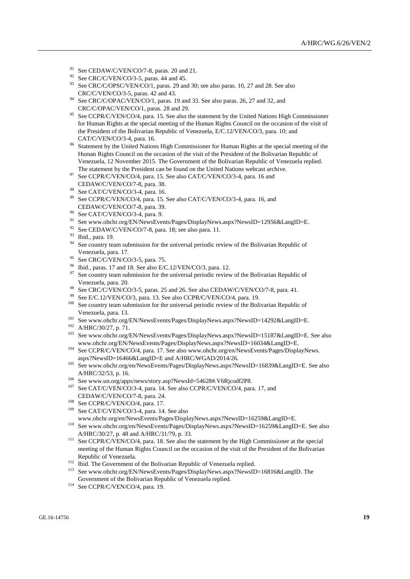- <sup>81</sup> See CEDAW/C/VEN/CO/7-8, paras. 20 and 21.<br><sup>82</sup> See CEC/CAUN/CO/2.5, paras. 44 and 45.
- <sup>82</sup> See CRC/C/VEN/CO/3-5, paras. 44 and 45.<br><sup>83</sup> See CRC/CORSO VEN/CO/1
- See CRC/C/OPSC/VEN/CO/1, paras. 29 and 30; see also paras. 10, 27 and 28. See also CRC/C/VEN/CO/3-5, paras. 42 and 43.
- <sup>84</sup> See CRC/C/OPAC/VEN/CO/1, paras. 19 and 33. See also paras. 26, 27 and 32, and CRC/C/OPAC/VEN/CO/1, paras. 28 and 29.
- <sup>85</sup> See CCPR/C/VEN/CO/4, para. 15. See also the statement by the United Nations High Commissioner for Human Rights at the special meeting of the Human Rights Council on the occasion of the visit of the President of the Bolivarian Republic of Venezuela, E/C.12/VEN/CO/3, para. 10; and CAT/C/VEN/CO/3-4, para. 16.
- <sup>86</sup> Statement by the United Nations High Commissioner for Human Rights at the special meeting of the Human Rights Council on the occasion of the visit of the President of the Bolivarian Republic of Venezuela, 12 November 2015. The Government of the Bolivarian Republic of Venezuela replied. The statement by the President can be found on the United Nations webcast archive.
- <sup>87</sup> See CCPR/C/VEN/CO/4, para. 15. See also CAT/C/VEN/CO/3-4, para. 16 and CEDAW/C/VEN/CO/7-8, para. 38.
- <sup>88</sup> See CAT/C/VEN/CO/3-4, para. 16.
- <sup>89</sup> See CCPR/C/VEN/CO/4, para. 15. See also CAT/C/VEN/CO/3-4, para. 16, and CEDAW/C/VEN/CO/7-8, para. 39.
- <sup>90</sup> See CAT/C/VEN/CO/3-4, para. 9.
- <sup>91</sup> See www.ohchr.org/EN/NewsEvents/Pages/DisplayNews.aspx?NewsID=12956&LangID=E.<br><sup>92</sup> See CEDAW/CA/EN/CO/7.8, page 18: see also page 11
- See CEDAW/C/VEN/CO/7-8, para. 18; see also para. 11.
- $\frac{93}{94}$  Ibid., para. 19.
- See country team submission for the universal periodic review of the Bolivarian Republic of Venezuela, para. 17.
- <sup>95</sup> See CRC/C/VEN/CO/3-5, para. 75.<br><sup>96</sup> Bid name 17 and 18 See also B/C
- <sup>96</sup> Ibid., paras. 17 and 18. See also E/C.12/VEN/CO/3, para. 12.
- See country team submission for the universal periodic review of the Bolivarian Republic of Venezuela, para. 20.
- <sup>98</sup> See CRC/C/VEN/CO/3-5, paras. 25 and 26. See also CEDAW/C/VEN/CO/7-8, para. 41.
- <sup>99</sup> See E/C.12/VEN/CO/3, para. 13. See also CCPR/C/VEN/CO/4, para. 19.<br><sup>100</sup> See assuming submission for the universal periodic rayious of the Boli
- See country team submission for the universal periodic review of the Bolivarian Republic of Venezuela, para. 13.
- <sup>101</sup> See www.ohchr.org/EN/NewsEvents/Pages/DisplayNews.aspx?NewsID=14292&LangID=E.
- $^{102}$  A/HRC/30/27, p. 71.
- <sup>103</sup> See www.ohchr.org/EN/NewsEvents/Pages/DisplayNews.aspx?NewsID=15187&LangID=E. See also www.ohchr.org/EN/NewsEvents/Pages/DisplayNews.aspx?NewsID=16034&LangID=E.
- <sup>104</sup> See CCPR/C/VEN/CO/4, para. 17. See also www.ohchr.org/en/NewsEvents/Pages/DisplayNews. aspx?NewsID=16466&LangID=E and A/HRC/WGAD/2014/26.
- <sup>105</sup> See www.ohchr.org/en/NewsEvents/Pages/DisplayNews.aspx?NewsID=16839&LangID=E. See also A/HRC/32/53, p. 16.
- <sup>106</sup> See www.un.org/apps/news/story.asp?NewsId=54628#.V6Rjcodf2P8.
- <sup>107</sup> See CAT/C/VEN/CO/3-4, para. 14. See also CCPR/C/VEN/CO/4, para. 17, and CEDAW/C/VEN/CO/7-8, para. 24.
- <sup>108</sup> See CCPR/C/VEN/CO/4, para. 17.
- <sup>109</sup> See CAT/C/VEN/CO/3-4, para. 14. See also
- www.ohchr.org/en/NewsEvents/Pages/DisplayNews.aspx?NewsID=16259&LangID=E.
- <sup>110</sup> Se[e www.ohchr.org/en/NewsEvents/Pages/DisplayNews.aspx?NewsID=16259&LangID=E.](http://www.ohchr.org/en/NewsEvents/Pages/DisplayNews.aspx?NewsID=16259&LangID=E) See also A/HRC/30/27, p. 48 and A/HRC/31/79, p. 33.
- <sup>111</sup> See CCPR/C/VEN/CO/4, para. 18. See also the statement by the High Commissioner at the special meeting of the Human Rights Council on the occasion of the visit of the President of the Bolivarian Republic of Venezuela.
- <sup>112</sup> Ibid. The Government of the Bolivarian Republic of Venezuela replied.
- <sup>113</sup> See [www.ohchr.org/EN/NewsEvents/Pages/DisplayNews.aspx?NewsID=16816&LangID.](file:///C:/Users/Andres.Sanchez/AppData/Local/Temp/notes9B1E03/www.ohchr.org/EN/NewsEvents/Pages/DisplayNews.aspx%3fNewsID=16816&LangID) The Government of the Bolivarian Republic of Venezuela replied.
- <sup>114</sup> See CCPR/C/VEN/CO/4, para. 19.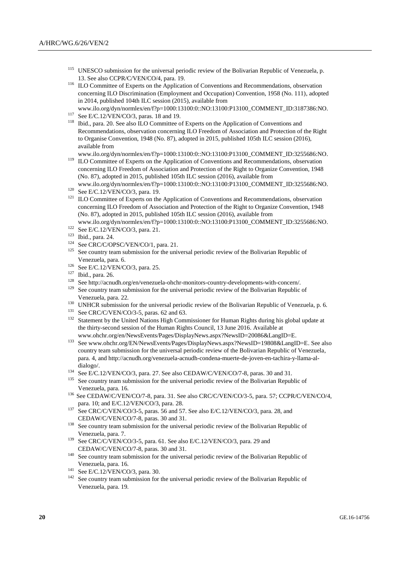- <sup>115</sup> UNESCO submission for the universal periodic review of the Bolivarian Republic of Venezuela, p. 13. See also CCPR/C/VEN/CO/4, para. 19.
- <sup>116</sup> ILO Committee of Experts on the Application of Conventions and Recommendations, observation concerning ILO Discrimination (Employment and Occupation) Convention, 1958 (No. 111), adopted in 2014, published 104th ILC session (2015), available from
- www.ilo.org/dyn/normlex/en/f?p=1000:13100:0::NO:13100:P13100\_COMMENT\_ID:3187386:NO.
- <sup>117</sup> See E/C.12/VEN/CO/3, paras. 18 and 19.
- <sup>118</sup> Ibid., para. 20. See also ILO Committee of Experts on the Application of Conventions and Recommendations, observation concerning ILO Freedom of Association and Protection of the Right to Organise Convention, 1948 (No. 87), adopted in 2015, published 105th ILC session (2016), available from

www.ilo.org/dyn/normlex/en/f?p=1000:13100:0::NO:13100:P13100\_COMMENT\_ID:3255686:NO.

<sup>119</sup> ILO Committee of Experts on the Application of Conventions and Recommendations, observation concerning ILO Freedom of Association and Protection of the Right to Organize Convention, 1948 (No. 87), adopted in 2015, published 105th ILC session (2016), available from www.ilo.org/dyn/normlex/en/f?p=1000:13100:0::NO:13100:P13100\_COMMENT\_ID:3255686:NO.

<sup>121</sup> ILO Committee of Experts on the Application of Conventions and Recommendations, observation concerning ILO Freedom of Association and Protection of the Right to Organize Convention, 1948 (No. 87), adopted in 2015, published 105th ILC session (2016), available from

www.ilo.org/dyn/normlex/en/f?p=1000:13100:0::NO:13100:P13100\_COMMENT\_ID:3255686:NO. <sup>122</sup> See E/C.12/VEN/CO/3, para. 21.

- 
- $\frac{123}{124}$  Ibid., para. 24.
- See CRC/C/OPSC/VEN/CO/1, para. 21.
- <sup>125</sup> See country team submission for the universal periodic review of the Bolivarian Republic of Venezuela, para. 6.
- <sup>126</sup> See E/C.12/VEN/CO/3, para. 25.
- <sup>127</sup> Ibid., para. 26.
- <sup>128</sup> See http://acnudh.org/en/venezuela-ohchr-monitors-country-developments-with-concern/.<br><sup>129</sup> See against team submission for the universal periodic raview of the Deliverian Dapublic
- See country team submission for the universal periodic review of the Bolivarian Republic of Venezuela, para. 22.
- <sup>130</sup> UNHCR submission for the universal periodic review of the Bolivarian Republic of Venezuela, p. 6.
- <sup>131</sup> See CRC/C/VEN/CO/3-5, paras. 62 and 63.
- <sup>132</sup> Statement by the United Nations High Commissioner for Human Rights during his global update at the thirty-second session of the Human Rights Council, 13 June 2016. Available at www.ohchr.org/en/NewsEvents/Pages/DisplayNews.aspx?NewsID=20086&LangID=E.
- <sup>133</sup> [See www.ohchr.org/EN/NewsEvents/Pages/DisplayNews.aspx?NewsID=19808&LangID=E.](file:///C:/Users/Andres.Sanchez/AppData/Local/Temp/notes9B1E03/See%20www.ohchr.org/EN/NewsEvents/Pages/DisplayNews.aspx%3fNewsID=19808&LangID=E) See also country team submission for the universal periodic review of the Bolivarian Republic of Venezuela, para. 4, and http://acnudh.org/venezuela-acnudh-condena-muerte-de-joven-en-tachira-y-llama-aldialogo/.
- <sup>134</sup> See E/C.12/VEN/CO/3, para. 27. See also CEDAW/C/VEN/CO/7-8, paras. 30 and 31.
- See country team submission for the universal periodic review of the Bolivarian Republic of Venezuela, para. 16.
- <sup>136</sup> See CEDAW/C/VEN/CO/7-8, para. 31. See also CRC/C/VEN/CO/3-5, para. 57; CCPR/C/VEN/CO/4, para. 10; and E/C.12/VEN/CO/3, para. 28.
- <sup>137</sup> See CRC/C/VEN/CO/3-5, paras. 56 and 57. See also E/C.12/VEN/CO/3, para. 28, and CEDAW/C/VEN/CO/7-8, paras. 30 and 31.
- <sup>138</sup> See country team submission for the universal periodic review of the Bolivarian Republic of Venezuela, para. 7.
- <sup>139</sup> See CRC/C/VEN/CO/3-5, para. 61. See also E/C.12/VEN/CO/3, para. 29 and CEDAW/C/VEN/CO/7-8, paras. 30 and 31.
- <sup>140</sup> See country team submission for the universal periodic review of the Bolivarian Republic of Venezuela, para. 16.
- $141$  See E/C.12/VEN/CO/3, para. 30.
- <sup>142</sup> See country team submission for the universal periodic review of the Bolivarian Republic of Venezuela, para. 19.

<sup>120</sup> See E/C.12/VEN/CO/3, para. 19.